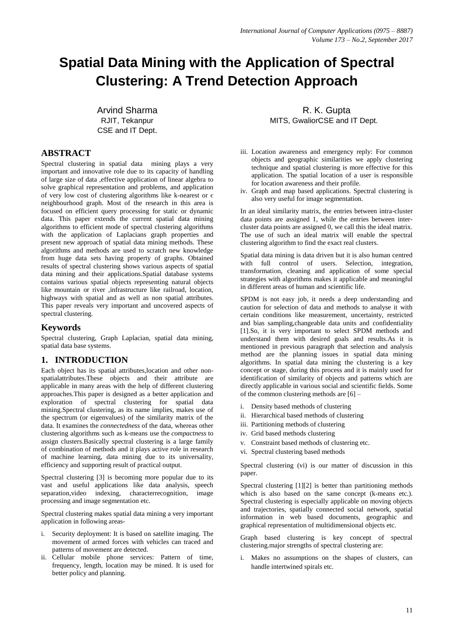# **Spatial Data Mining with the Application of Spectral Clustering: A Trend Detection Approach**

Arvind Sharma RJIT, Tekanpur CSE and IT Dept.

### **ABSTRACT**

Spectral clustering in spatial data mining plays a very important and innovative role due to its capacity of handling of large size of data ,effective application of linear algebra to solve graphical representation and problems, and application of very low cost of clustering algorithms like k-nearest or  $\epsilon$ neighbourhood graph. Most of the research in this area is focused on efficient query processing for static or dynamic data. This paper extends the current spatial data mining algorithms to efficient mode of spectral clustering algorithms with the application of Laplacians graph properties and present new approach of spatial data mining methods. These algorithms and methods are used to scratch new knowledge from huge data sets having property of graphs. Obtained results of spectral clustering shows various aspects of spatial data mining and their applications.Spatial database systems contains various spatial objects representing natural objects like mountain or river ,infrastructure like railroad, location, highways with spatial and as well as non spatial attributes. This paper reveals very important and uncovered aspects of spectral clustering.

### **Keywords**

Spectral clustering, Graph Laplacian, spatial data mining, spatial data base systems.

# **1. INTRODUCTION**

Each object has its spatial attributes,location and other nonspatialattributes.These objects and their attribute are applicable in many areas with the help of different clustering approaches.This paper is designed as a better application and exploration of spectral clustering for spatial data mining.Spectral clustering, as its name implies, makes use of the spectrum (or eigenvalues) of the similarity matrix of the data. It examines the *connectedness* of the data, whereas other clustering algorithms such as k-means use the *compactness* to assign clusters.Basically spectral clustering is a large family of combination of methods and it plays active role in research of machine learning, data mining due to its universality, efficiency and supporting result of practical output.

Spectral clustering [3] is becoming more popular due to its vast and useful applications like data analysis, speech separation,video indexing, characterrecognition, image processing and image segmentation etc.

Spectral clustering makes spatial data mining a very important application in following areas-

- i. Security deployment: It is based on satellite imaging. The movement of armed forces with vehicles can traced and patterns of movement are detected.
- ii. Cellular mobile phone services: Pattern of time, frequency, length, location may be mined. It is used for better policy and planning.

R. K. Gupta MITS, GwaliorCSE and IT Dept.

- iii. Location awareness and emergency reply: For common objects and geographic similarities we apply clustering technique and spatial clustering is more effective for this application. The spatial location of a user is responsible for location awareness and their profile.
- iv. Graph and map based applications. Spectral clustering is also very useful for image segmentation.

In an ideal similarity matrix, the entries between intra-cluster data points are assigned 1, while the entries between intercluster data points are assigned 0, we call this the ideal matrix. The use of such an ideal matrix will enable the spectral clustering algorithm to find the exact real clusters.

Spatial data mining is data driven but it is also human centred with full control of users. Selection, integration, transformation, cleaning and application of some special strategies with algorithms makes it applicable and meaningful in different areas of human and scientific life.

SPDM is not easy job, it needs a deep understanding and caution for selection of data and methods to analyse it with certain conditions like measurement, uncertainty, restricted and bias sampling,changeable data units and confidentiality [1].So, it is very important to select SPDM methods and understand them with desired goals and results.As it is mentioned in previous paragraph that selection and analysis method are the planning issues in spatial data mining algorithms. In spatial data mining the clustering is a key concept or stage, during this process and it is mainly used for identification of similarity of objects and patterns which are directly applicable in various social and scientific fields. Some of the common clustering methods are [6] –

- i. Density based methods of clustering
- ii. Hierarchical based methods of clustering
- iii. Partitioning methods of clustering
- iv. Grid based methods clustering
- v. Constraint based methods of clustering etc.
- vi. Spectral clustering based methods

Spectral clustering (vi) is our matter of discussion in this paper.

Spectral clustering [1][2] is better than partitioning methods which is also based on the same concept (k-means etc.). Spectral clustering is especially applicable on moving objects and trajectories, spatially connected social network, spatial information in web based documents, geographic and graphical representation of multidimensional objects etc.

Graph based clustering is key concept of spectral clustering.major strengths of spectral clustering are:

i. Makes no assumptions on the shapes of clusters, can handle intertwined spirals etc.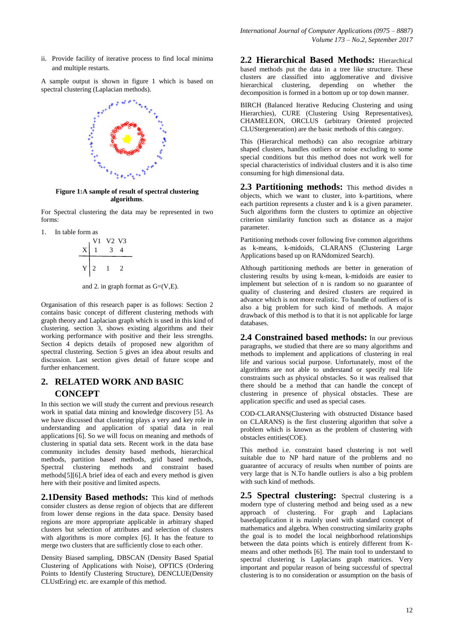ii. Provide facility of iterative process to find local minima and multiple restarts.

A sample output is shown in figure 1 which is based on spectral clustering (Laplacian methods).



**Figure 1:A sample of result of spectral clustering algorithms**.

For Spectral clustering the data may be represented in two forms:

1. In table form as

$$
\begin{array}{c|cc}\n & V1 & V2 & V3 \\
X & 1 & 3 & 4 \\
\hline\nY & 2 & 1 & 2\n\end{array}
$$

and 2. in graph format as  $G=(V,E)$ .

Organisation of this research paper is as follows: Section 2 contains basic concept of different clustering methods with graph theory and Laplacian graph which is used in this kind of clustering. section 3, shows existing algorithms and their working performance with positive and their less strengths. Section 4 depicts details of proposed new algorithm of spectral clustering. Section 5 gives an idea about results and discussion. Last section gives detail of future scope and further enhancement.

# **2. RELATED WORK AND BASIC CONCEPT**

In this section we will study the current and previous research work in spatial data mining and knowledge discovery [5]. As we have discussed that clustering plays a very and key role in understanding and application of spatial data in real applications [6]. So we will focus on meaning and methods of clustering in spatial data sets. Recent work in the data base community includes density based methods, hierarchical methods, partition based methods, grid based methods, Spectral clustering methods and constraint based methods[5][6].A brief idea of each and every method is given here with their positive and limited aspects.

**2.1Density Based methods:** This kind of methods consider clusters as dense region of objects that are different from lower dense regions in the data space. Density based regions are more appropriate applicable in arbitrary shaped clusters but selection of attributes and selection of clusters with algorithms is more complex [6]. It has the feature to merge two clusters that are sufficiently close to each other.

Density Biased sampling, DBSCAN (Density Based Spatial Clustering of Applications with Noise), OPTICS (Ordering Points to Identify Clustering Structure), DENCLUE(Density CLUstEring) etc. are example of this method.

**2.2 Hierarchical Based Methods:** Hierarchical based methods put the data in a tree like structure. These clusters are classified into agglomerative and divisive hierarchical clustering, depending on whether the decomposition is formed in a bottom up or top down manner.

BIRCH (Balanced Iterative Reducing Clustering and using Hierarchies), CURE (Clustering Using Representatives), CHAMELEON, ORCLUS (arbitrary Oriented projected CLUStergeneration) are the basic methods of this category.

This (Hierarchical methods) can also recognize arbitrary shaped clusters, handles outliers or noise excluding to some special conditions but this method does not work well for special characteristics of individual clusters and it is also time consuming for high dimensional data.

**2.3 Partitioning methods:** This method divides n objects, which we want to cluster, into k-partitions, where each partition represents a cluster and k is a given parameter. Such algorithms form the clusters to optimize an objective criterion similarity function such as distance as a major parameter.

Partitioning methods cover following five common algorithms as k-means, k-midoids, CLARANS (Clustering Large Applications based up on RANdomized Search).

Although partitioning methods are better in generation of clustering results by using k-mean, k-midoids are easier to implement but selection of n is random so no guarantee of quality of clustering and desired clusters are required in advance which is not more realistic. To handle of outliers of is also a big problem for such kind of methods. A major drawback of this method is to that it is not applicable for large databases.

**2.4 Constrained based methods:** In our previous paragraphs, we studied that there are so many algorithms and methods to implement and applications of clustering in real life and various social purpose. Unfortunately, most of the algorithms are not able to understand or specify real life constraints such as physical obstacles. So it was realised that there should be a method that can handle the concept of clustering in presence of physical obstacles. These are application specific and used as special cases.

COD-CLARANS(Clustering with obstructed Distance based on CLARANS) is the first clustering algorithm that solve a problem which is known as the problem of clustering with obstacles entities(COE).

This method i.e. constraint based clustering is not well suitable due to NP hard nature of the problems and no guarantee of accuracy of results when number of points are very large that is N.To handle outliers is also a big problem with such kind of methods.

**2.5 Spectral clustering:** Spectral clustering is a modern type of clustering method and being used as a new approach of clustering. For graph and Laplacians basedapplication it is mainly used with standard concept of mathematics and algebra. When constructing similarity graphs the goal is to model the local neighborhood relationships between the data points which is entirely different from Kmeans and other methods [6]. The main tool to understand to spectral clustering is Laplacians graph matrices. Very important and popular reason of being successful of spectral clustering is to no consideration or assumption on the basis of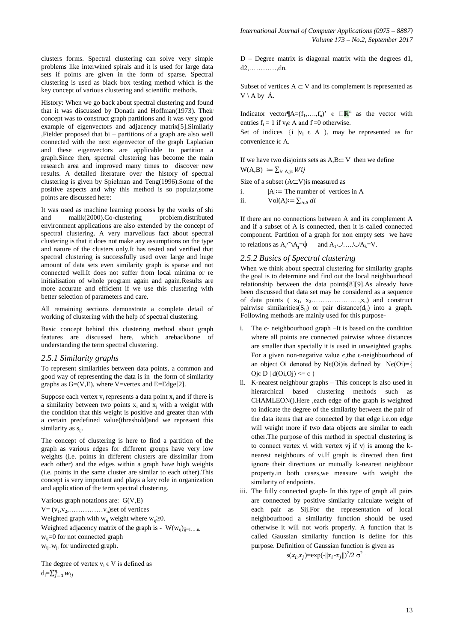clusters forms. Spectral clustering can solve very simple problems like interwined spirals and it is used for large data sets if points are given in the form of sparse. Spectral clustering is used as black box testing method which is the key concept of various clustering and scientific methods.

History: When we go back about spectral clustering and found that it was discussed by Donath and Hoffman(1973). Their concept was to construct graph partitions and it was very good example of eigenvectors and adjacency matrix[5].Similarly ,Fielder proposed that bi – partitions of a graph are also well connected with the next eigenvector of the graph Laplacian and these eigenvectors are applicable to partition a graph.Since then, spectral clustering has become the main research area and improved many times to discover new results. A detailed literature over the history of spectral clustering is given by Spielman and Teng(1996).Some of the positive aspects and why this method is so popular,some points are discussed here:

It was used as machine learning process by the works of shi and malik(2000).Co-clustering problem,distributed environment applications are also extended by the concept of spectral clustering. A very marvellous fact about spectral clustering is that it does not make any assumptions on the type and nature of the clusters only.It has tested and verified that spectral clustering is successfully used over large and huge amount of data sets even similarity graph is sparse and not connected well.It does not suffer from local minima or re initialisation of whole program again and again.Results are more accurate and efficient if we use this clustering with better selection of parameters and care.

All remaining sections demonstrate a complete detail of working of clustering with the help of spectral clustering.

Basic concept behind this clustering method about graph features are discussed here, which arebackbone of understanding the term spectral clustering.

#### *2.5.1 Similarity graphs*

To represent similarities between data points, a common and good way of representing the data is in the form of similarity graphs as  $G=(V,E)$ , where V=vertex and E=Edge[2].

Suppose each vertex  $v_i$  represents a data point  $x_i$  and if there is a similarity between two points  $x_i$  and  $x_j$  with a weight with the condition that this weight is positive and greater than with a certain predefined value(threshold)and we represent this similarity as  $s_{ii}$ .

The concept of clustering is here to find a partition of the graph as various edges for different groups have very low weights (i.e. points in different clusters are dissimilar from each other) and the edges within a graph have high weights (i.e. points in the same cluster are similar to each other).This concept is very important and plays a key role in organization and application of the term spectral clustering.

Various graph notations are: G(V,E)  $V = (v_1, v_2, \ldots, \ldots, v_n)$ set of vertices Weighted graph with w<sub>ii</sub> weight where w<sub>ii</sub> $\geq$ 0. Weighted adjacency matrix of the graph is -  $W(w_{ij})_{ij=1,...,n}$ . w<sub>ij</sub>=0 for not connected graph  $w_{ii}=w_{ii}$  for undirected graph.

The degree of vertex  $v_i \in V$  is defined as  $d_i = \sum_{j=1}^n$ 

D – Degree matrix is diagonal matrix with the degrees d1, d2,…………,dn.

Subset of vertices  $A \subset V$  and its complement is represented as  $V \setminus A$  by  $\acute{A}$ .

Indicator vector $\P$ A=(f<sub>1</sub>, ...,f<sub>n</sub>)'  $\epsilon \square \mathbb{R}^n$  as the vector with entries  $f_i = 1$  if  $v_i \in A$  and  $f_i = 0$  otherwise.

Set of indices  $\{i \mid v_i \in A\}$ , may be represented as for convenience iє A.

If we have two disjoints sets as  $A, B \subset V$  then we define  $W(A,B) := \sum_{i \in A, i \in W} ij$ 

Size of a subset  $(A\subset V)$ is measured as

i.  $|A| :=$  The number of vertices in A

ii.  $Vol(A) := \sum_{i \in A} di$ 

If there are no connections between A and its complement A and if a subset of A is connected, then it is called connected component. Partition of a graph for non empty sets we have to relations as  $A_i \cap A_j = \emptyset$  and  $A_1 \cup \dots \cup A_k = V$ .

#### *2.5.2 Basics of Spectral clustering*

When we think about spectral clustering for similarity graphs the goal is to determine and find out the local neighbourhood relationship between the data points[8][9].As already have been discussed that data set may be considered as a sequence of data points  $(x_1, x_2, \ldots, x_n)$  and construct pairwise similarities( $S_{ij}$ ) or pair distance( $d_{ij}$ ) into a graph. Following methods are mainly used for this purpose-

- i. The є- neighbourhood graph –It is based on the condition where all points are connected pairwise whose distances are smaller than specially it is used in unweighted graphs. For a given non-negative value є,the є-neighbourhood of an object Oi denoted by N $\varepsilon$ (Oi)is defined by N $\varepsilon$ (Oi)={ Oje D  $\vert d(Oi, Oj) \vert \leq \epsilon$  }
- ii. K-nearest neighbour graphs This concept is also used in hierarchical based clustering methods such as CHAMLEON().Here ,each edge of the graph is weighted to indicate the degree of the similarity between the pair of the data items that are connected by that edge i.e.on edge will weight more if two data objects are similar to each other.The purpose of this method in spectral clustering is to connect vertex vi with vertex vj if vj is among the knearest neighbours of vi.If graph is directed then first ignore their directions or mutually k-nearest neighbour property.in both cases,we measure with weight the similarity of endpoints.

iii. The fully connected graph- In this type of graph all pairs are connected by positive similarity calculate weight of each pair as Sij.For the representation of local neighbourhood a similarity function should be used otherwise it will not work properly. A function that is called Gaussian similarity function is define for this purpose. Definition of Gaussian function is given as

 $s(x_i, x_j) = \exp(-||x_i - x_j||)^2/2 \sigma^2$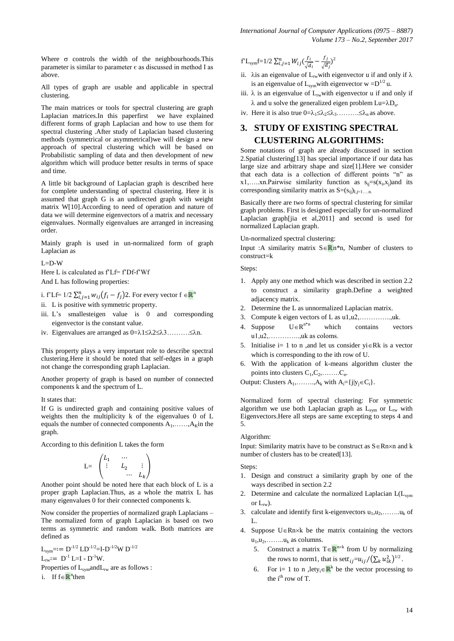*International Journal of Computer Applications (0975 – 8887) Volume 173 – No.2, September 2017*

Where  $\sigma$  controls the width of the neighbourhoods. This parameter is similar to parameter  $\epsilon$  as discussed in method I as above.

All types of graph are usable and applicable in spectral clustering.

The main matrices or tools for spectral clustering are graph Laplacian matrices.In this paperfirst we have explained different forms of graph Laplacian and how to use them for spectral clustering .After study of Laplacian based clustering methods (symmetrical or asymmetrical)we will design a new approach of spectral clustering which will be based on Probabilistic sampling of data and then development of new algorithm which will produce better results in terms of space and time.

A little bit background of Laplacian graph is described here for complete understanding of spectral clustering. Here it is assumed that graph G is an undirected graph with weight matrix W[10].According to need of operation and nature of data we will determine eigenvectors of a matrix and necessary eigenvalues. Normally eigenvalues are arranged in increasing order.

Mainly graph is used in un-normalized form of graph Laplacian as

L=D-W

Here L is calculated as f'Lf= f'Df-f'Wf And L has following properties:

i. f'Lf= 1/2  $\sum_{i,j=1}^{n} w_{ij} (f_i - f_j)$ 2. For every vector  $f \in \mathbb{R}^n$ 

- ii. L is positive with symmetric property.
- iii. L's smallesteigen value is 0 and corresponding eigenvector is the constant value.
- iv. Eigenvalues are arranged as 0=123……….n.

This property plays a very important role to describe spectral clustering.Here it should be noted that self-edges in a graph not change the corresponding graph Laplacian.

Another property of graph is based on number of connected components k and the spectrum of L.

#### It states that:

If G is undirected graph and containing positive values of weights then the multiplicity k of the eigenvalues 0 of L equals the number of connected components  $A_1, \ldots, A_K$  in the graph.

According to this definition L takes the form

$$
\mathbf{L} = \begin{pmatrix} L_1 & \cdots & \\ \vdots & L_2 & \vdots \\ & & \cdots & L_k \end{pmatrix}
$$

Another point should be noted here that each block of L is a proper graph Laplacian.Thus, as a whole the matrix L has many eigenvalues 0 for their connected components k.

Now consider the properties of normalized graph Laplacians – The normalized form of graph Laplacian is based on two terms as symmetric and random walk. Both matrices are defined as

 $L_{sym} = := D^{-1/2} L D^{-1/2} = I - D^{-1/2} W D^{-1/2}$  $L_{rw} := D^{-1} L = I - D^{-1} W$ . Properties of  $L_{sym}$  and  $L_{rw}$  are as follows : i. If f∈<mark>R</mark><sup>n</sup>then

$$
f^{\prime} L_{sym} f = 1/2 \sum_{i,j=1}^{n} W_{ij} \left( \frac{f_i}{\sqrt{d_i}} - \frac{f_j}{\sqrt{d_j}} \right)^2
$$

- ii.  $\lambda$ is an eigenvalue of L<sub>rw</sub>with eigenvector u if and only if  $\lambda$ is an eigenvalue of  $L_{sym}$  with eigenvector w = $D^{1/2}$  u.
- iii.  $\lambda$  is an eigenvalue of  $L_{rw}$  with eigenvector u if and only if  $\lambda$  and u solve the generalized eigen problem  $\text{Lu} = \lambda \text{D}_u$ .
- iv. Here it is also true  $0 = \lambda_1 \leq \lambda_2 \leq \lambda_3$ .........  $\leq \lambda_n$  as above.

# **3. STUDY OF EXISTING SPECTRAL CLUSTERING ALGORITHMS:**

Some notations of graph are already discussed in section 2.Spatial clustering[13] has special importance if our data has large size and arbitrary shape and size[1].Here we consider that each data is a collection of different points "n" as x1,.....xn.Pairwise similarity function as  $s_{ij} = s(x_i, x_j)$  and its corresponding similarity matrix as  $S=(s_{ii})_{i=1}$ .

Basically there are two forms of spectral clustering for similar graph problems. First is designed especially for un-normalized Laplacian graph[jia et al,2011] and second is used for normalized Laplacian graph.

Un-normalized spectral clustering:

Input :A similarity matrix  $S \in \mathbb{R}^n$ <sup>\*n</sup>, Number of clusters to construct=k

Steps:

- 1. Apply any one method which was described in section 2.2 to construct a similarity graph.Define a weighted adjacency matrix.
- 2. Determine the L as unnormalized Laplacian matrix.
- 3. Compute k eigen vectors of L as u1,u2,…………..,uk.
- 4. Suppose  $U \in R^{n*n}$ which contains vectors  $u_1, u_2, \ldots, u_k$  as coloms.
- 5. Initialise  $i=1$  to n, and let us consider  $yi \in Rk$  is a vector which is corresponding to the ith row of U.
- 6. With the application of k-means algorithm cluster the points into clusters  $C_1, C_2, \ldots, C_n$ .

Output: Clusters  $A_1, \ldots, A_k$  with  $A_i = \{j | y_j \in C_i\}.$ 

Normalized form of spectral clustering: For symmetric algorithm we use both Laplacian graph as  $L_{sym}$  or  $L_{rw}$  with Eigenvectors.Here all steps are same excepting to steps 4 and 5.

#### Algorithm:

Input: Similarity matrix have to be construct as  $S \in Rn \times n$  and k number of clusters has to be created[13].

#### Steps:

- 1. Design and construct a similarity graph by one of the ways described in section 2.2
- 2. Determine and calculate the normalized Laplacian  $L(L_{sym})$ or  $L_{rw}$ ).
- 3. calculate and identify first k-eigenvectors  $u_1, u_2, \ldots, u_k$  of L.
- 4. Suppose  $U \in Rn \times k$  be the matrix containing the vectors  $u_1, u_2, \ldots, u_k$  as columns.
	- 5. Construct a matrix  $T \in \mathbb{R}^{n \times k}$  from U by normalizing the rows to norm1, that is sett<sub>ij</sub>= $u_{ii}/(\sum_k u_{ik}^2)^{1/2}$ .
	- 6. For i= 1 to n ,lety<sub>i</sub>  $\in \mathbb{R}^k$  be the vector processing to the  $i<sup>th</sup>$  row of T.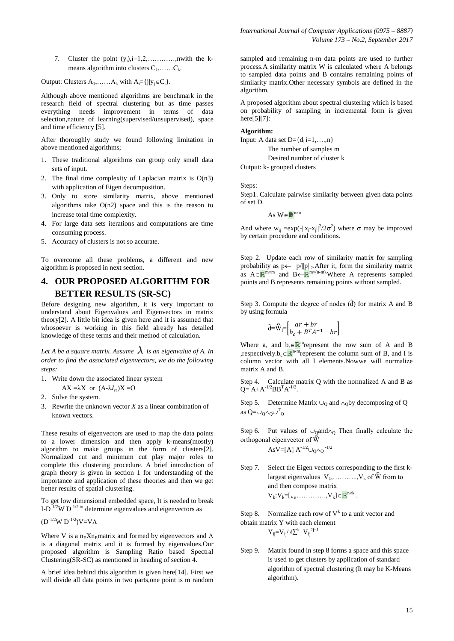7. Cluster the point  $(y_i)$ ,  $i=1,2,...$ , mwith the kmeans algorithm into clusters  $C_1, \ldots, C_k$ .

Output: Clusters  $A_1, \ldots, A_k$  with  $A_i = \{j | y_j \in C_i\}.$ 

Although above mentioned algorithms are benchmark in the research field of spectral clustering but as time passes everything needs improvement in terms of data selection,nature of learning(supervised/unsupervised), space and time efficiency [5].

After thoroughly study we found following limitation in above mentioned algorithms;

- 1. These traditional algorithms can group only small data sets of input.
- 2. The final time complexity of Laplacian matrix is  $O(n3)$ with application of Eigen decomposition.
- 3. Only to store similarity matrix, above mentioned algorithms take  $O(n2)$  space and this is the reason to increase total time complexity.
- 4. For large data sets iterations and computations are time consuming process.
- 5. Accuracy of clusters is not so accurate.

To overcome all these problems, a different and new algorithm is proposed in next section.

# **4. OUR PROPOSED ALGORITHM FOR BETTER RESULTS (SR-SC)**

Before designing new algorithm, it is very important to understand about Eigenvalues and Eigenvectors in matrix theory[2]. A little bit idea is given here and it is assumed that whosoever is working in this field already has detailed knowledge of these terms and their method of calculation.

*Let A be a square matrix. Assume*  $\lambda$  *is an eigenvalue of A. In order to find the associated eigenvectors, we do the following steps:*

- 1. Write down the associated linear system
	- $AX = \lambda X$  or  $(A \lambda I_n)X = O$
- 2. Solve the system.
- 3. Rewrite the unknown vector *X* as a linear combination of known vectors.

These results of eigenvectors are used to map the data points to a lower dimension and then apply k-means(mostly) algorithm to make groups in the form of clusters[2]. Normalized cut and minimum cut play major roles to complete this clustering procedure. A brief introduction of graph theory is given in section 1 for understanding of the importance and application of these theories and then we get better results of spatial clustering.

To get low dimensional embedded space, It is needed to break I-D $^{-1/2}$ W D<sup>-1/2 to</sup> determine eigenvalues and eigenvectors as

 $(D^{-1/2}W D^{-1/2})V=V\Lambda$ 

Where V is a n<sub>E</sub>Xn<sub>E</sub>matrix and formed by eigenvectors and  $\Lambda$ is a diagonal matrix and it is formed by eigenvalues.Our proposed algorithm is Sampling Ratio based Spectral Clustering(SR-SC) as mentioned in heading of section 4.

A brief idea behind this algorithm is given here[14]. First we will divide all data points in two parts,one point is m random *International Journal of Computer Applications (0975 – 8887) Volume 173 – No.2, September 2017*

sampled and remaining n-m data points are used to further process.A similarity matrix W is calculated where A belongs to sampled data points and B contains remaining points of similarity matrix. Other necessary symbols are defined in the algorithm.

A proposed algorithm about spectral clustering which is based on probability of sampling in incremental form is given here[5][7]:

#### **Algorithm:**

Input: A data set  $D = \{d_i\}_{i=1,\ldots,n\}$ 

The number of samples m Desired number of cluster k

Output: k- grouped clusters

Steps:

Step1. Calculate pairwise similarity between given data points of set D.

As  $W \in \mathbb{R}^{n \times n}$ 

And where  $w_{ij} = exp(-||x_i - x_j||^2/2\sigma^2)$  where  $\sigma$  may be improved by certain procedure and conditions.

Step 2. Update each row of similarity matrix for sampling probability as  $p \leftarrow p / ||p||_2$ . After it, form the similarity matrix as  $A \in \mathbb{R}^{m \times m}$  and  $B \leftarrow \mathbb{R}^{m \times (n-m)}$ . Where A represents sampled points and B represents remaining points without sampled.

Step 3. Compute the degree of nodes  $(d)$  for matrix A and B by using formula

$$
\hat{\mathbf{d}} = \nabla_{\mathbf{l}} = \begin{bmatrix} ar + br \\ b_c + B^T A^{-1} & br \end{bmatrix}
$$

Where  $a_r$  and  $b_r \in \mathbb{R}^m$  represent the row sum of A and B ,respectively.b<sub>c</sub>  $\mathbb{R}^{n-m}$  represent the column sum of B, and l is column vector with all l elements.Nowwe will normalize matrix A and B.

Step 4. Calculate matrix Q with the normalized A and B as  $Q = A + A^{-1/2}BB^{T}A^{-1/2}.$ 

Step 5. Determine Matrix  $\cup_0$  and  $\wedge_0$ by decomposing of Q as  $Q = \cup_Q \wedge_Q \cup^T_Q$ 

Step 6. Put values of  $\cup_0$ and $\wedge_0$  Then finally calculate the orthogonal eigenvector of W

AsV=[A]  $A^{-1/2} \cup_{Q} \cap_Q 1/2$ 

Step 7. Select the Eigen vectors corresponding to the first klargest eigenvalues  $V_1, \ldots, V_k$  of  $\bar{W}$  from to and then compose matrix  $V_k: V_k = [v_1, \ldots, V_k] \in \mathbb{R}^{n \times k}$ .

Step 8. Normalize each row of  $V^k$  to a unit vector and obtain matrix Y with each element

 $Y_{ij} = V_{ij}/\sqrt{\sum^{k} V_{ij}}^{2j=1}$ 

Step 9. Matrix found in step 8 forms a space and this space is used to get clusters by application of standard algorithm of spectral clustering (It may be K-Means algorithm).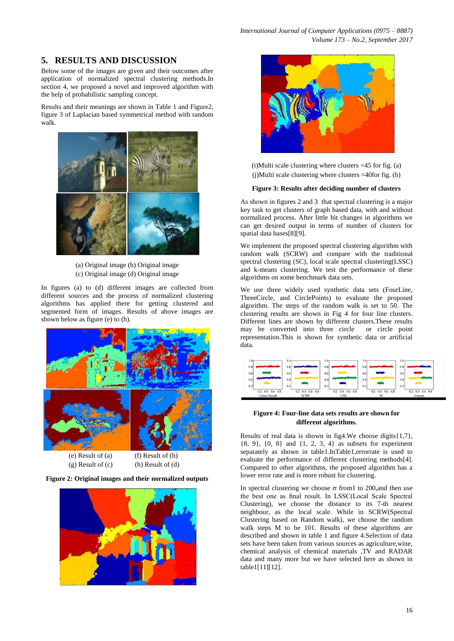# **5. RESULTS AND DISCUSSION**

Below some of the images are given and their outcomes after application of normalized spectral clustering methods.In section 4, we proposed a novel and improved algorithm with the help of probabilistic sampling concept.

Results and their meanings are shown in Table 1 and Figure2, figure 3 of Laplacian based symmetrical method with random walk.



(a) Original image (b) Original image (c) Original image (d) Original image

In figures (a) to (d) different images are collected from different sources and the process of normalized clustering algorithms has applied there for getting clustered and segmented form of images. Results of above images are shown below as figure (e) to (h).



(g) Result of  $(c)$  (h) Result of  $(d)$ 







(i)Multi scale clustering where clusters =45 for fig. (a)  $(i)$ Multi scale clustering where clusters =40for fig. (b)

#### **Figure 3: Results after deciding number of clusters**

As shown in figures 2 and 3 that spectral clustering is a major key task to get clusters of graph based data, with and without normalized process. After little bit changes in algorithms we can get desired output in terms of number of clusters for spatial data bases[8][9].

We implement the proposed spectral clustering algorithm with random walk (SCRW) and compare with the traditional spectral clustering (SC), local scale spectral clustering(LSSC) and k-means clustering. We test the performance of these algorithms on some benchmark data sets.

We use three widely used synthetic data sets (FourLine, ThreeCircle, and CirclePoints) to evaluate the proposed algorithm. The steps of the random walk is set to 50. The clustering results are shown in Fig 4 for four line clusters. Different lines are shown by different clusters.These results may be converted into three circle or circle point representation.This is shown for synthetic data or artificial data.



#### **Figure 4: Four-line data sets results are shown for different algorithms.**

Results of real data is shown in fig4.We choose digits{1,7}, {8, 9}, {0, 8} and {1, 2, 3, 4} as subsets for experiment separately as shown in table1.InTable1,errorrate is used to evaluate the performance of different clustering methods[4]. Compared to other algorithms, the proposed algorithm has a lower error rate and is more robust for clustering.

In spectral clustering we choose  $\sigma$  from 1 to 200, and then use the best one as final result. In LSSC(Local Scale Spectral Clustering), we choose the distance to its 7-th nearest neighbour, as the local scale. While in SCRW(Spectral Clustering based on Random walk), we choose the random walk steps M to be 101. Results of these algorithms are described and shown in table 1 and figure 4.Selection of data sets have been taken from various sources as agriculture,wine, chemical analysis of chemical materials ,TV and RADAR data and many more but we have selected here as shown in table1[11][12].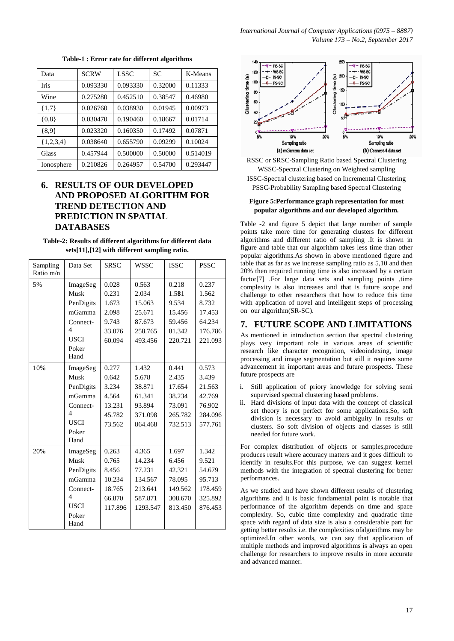| Data         | <b>SCRW</b> | LSSC     | SC      | K-Means  |
|--------------|-------------|----------|---------|----------|
| <b>Iris</b>  | 0.093330    | 0.093330 | 0.32000 | 0.11333  |
| Wine         | 0.275280    | 0.452510 | 0.38547 | 0.46980  |
| ${1,7}$      | 0.026760    | 0.038930 | 0.01945 | 0.00973  |
| ${0,8}$      | 0.030470    | 0.190460 | 0.18667 | 0.01714  |
| ${8,9}$      | 0.023320    | 0.160350 | 0.17492 | 0.07871  |
| ${1,2,3,4}$  | 0.038640    | 0.655790 | 0.09299 | 0.10024  |
| <b>Glass</b> | 0.457944    | 0.500000 | 0.50000 | 0.514019 |
| Ionosphere   | 0.210826    | 0.264957 | 0.54700 | 0.293447 |

**Table-1 : Error rate for different algorithms**

# **6. RESULTS OF OUR DEVELOPED AND PROPOSED ALGORITHM FOR TREND DETECTION AND PREDICTION IN SPATIAL DATABASES**

**Table-2: Results of different algorithms for different data sets[11],[12] with different sampling ratio.**

| Sampling<br>Ratio m/n | Data Set                 | <b>SRSC</b> | <b>WSSC</b> | <b>ISSC</b> | <b>PSSC</b> |
|-----------------------|--------------------------|-------------|-------------|-------------|-------------|
| 5%                    | ImageSeg                 | 0.028       | 0.563       | 0.218       | 0.237       |
|                       | Musk                     | 0.231       | 2.034       | 1.581       | 1.562       |
|                       | PenDigits                | 1.673       | 15.063      | 9.534       | 8.732       |
|                       | mGamma                   | 2.098       | 25.671      | 15.456      | 17.453      |
|                       | Connect-                 | 9.743       | 87.673      | 59.456      | 64.234      |
|                       | $\overline{\mathcal{L}}$ | 33.076      | 258.765     | 81.342      | 176.786     |
|                       | <b>USCI</b>              | 60.094      | 493.456     | 220.721     | 221.093     |
|                       | Poker                    |             |             |             |             |
|                       | Hand                     |             |             |             |             |
| 10%                   | ImageSeg                 | 0.277       | 1.432       | 0.441       | 0.573       |
|                       | Musk                     | 0.642       | 5.678       | 2.435       | 3.439       |
|                       | PenDigits                | 3.234       | 38.871      | 17.654      | 21.563      |
|                       | mGamma                   | 4.564       | 61.341      | 38.234      | 42.769      |
|                       | Connect-                 | 13.231      | 93.894      | 73.091      | 76.902      |
|                       | $\overline{4}$           | 45.782      | 371.098     | 265.782     | 284.096     |
|                       | <b>USCI</b>              | 73.562      | 864.468     | 732.513     | 577.761     |
|                       | Poker<br>Hand            |             |             |             |             |
| 20%                   | ImageSeg                 | 0.263       | 4.365       | 1.697       | 1.342       |
|                       | Musk                     | 0.765       | 14.234      | 6.456       | 9.521       |
|                       | PenDigits                | 8.456       | 77.231      | 42.321      | 54.679      |
|                       | mGamma                   | 10.234      | 134.567     | 78.095      | 95.713      |
|                       | Connect-                 | 18.765      | 213.641     | 149.562     | 178.459     |
|                       | $\overline{\mathcal{L}}$ | 66.870      | 587.871     | 308.670     | 325.892     |
|                       | <b>USCI</b>              | 117.896     | 1293.547    | 813.450     | 876.453     |
|                       | Poker                    |             |             |             |             |
|                       | Hand                     |             |             |             |             |



RSSC or SRSC-Sampling Ratio based Spectral Clustering WSSC-Spectral Clustering on Weighted sampling ISSC-Spectral clustering based on Incremental Clustering PSSC-Probability Sampling based Spectral Clustering

#### **Figure 5:Performance graph representation for most popular algorithms and our developed algorithm.**

Table -2 and figure 5 depict that large number of sample points take more time for generating clusters for different algorithms and different ratio of sampling .It is shown in figure and table that our algorithm takes less time than other popular algorithms.As shown in above mentioned figure and table that as far as we increase sampling ratio as 5,10 and then 20% then required running time is also increased by a certain factor[7] .For large data sets and sampling points ,time complexity is also increases and that is future scope and challenge to other researchers that how to reduce this time with application of novel and intelligent steps of processing on our algorithm(SR-SC).

# **7. FUTURE SCOPE AND LIMITATIONS**

As mentioned in introduction section that spectral clustering plays very important role in various areas of scientific research like character recognition, videoindexing, image processing and image segmentation but still it requires some advancement in important areas and future prospects. These future prospects are

- Still application of priory knowledge for solving semi supervised spectral clustering based problems.
- ii. Hard divisions of input data with the concept of classical set theory is not perfect for some applications.So, soft division is necessary to avoid ambiguity in results or clusters. So soft division of objects and classes is still needed for future work.

For complex distribution of objects or samples, procedure produces result where accuracy matters and it goes difficult to identify in results.For this purpose, we can suggest kernel methods with the integration of spectral clustering for better performances.

As we studied and have shown different results of clustering algorithms and it is basic fundamental point is notable that performance of the algorithm depends on time and space complexity. So, cubic time complexity and quadratic time space with regard of data size is also a considerable part for getting better results i.e. the complexities ofalgorithms may be optimized.In other words, we can say that application of multiple methods and improved algorithms is always an open challenge for researchers to improve results in more accurate and advanced manner.